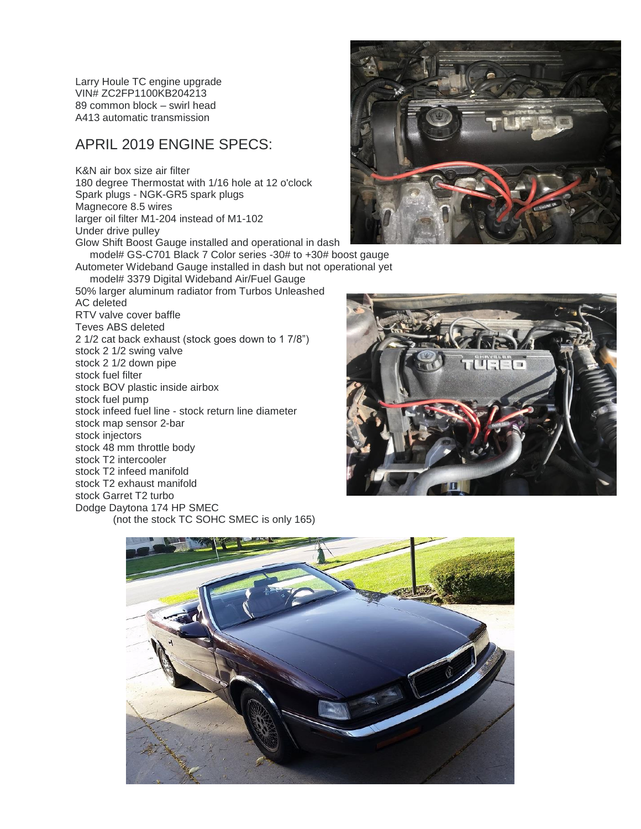Larry Houle TC engine upgrade VIN# ZC2FP1100KB204213 89 common block – swirl head A413 automatic transmission

## APRIL 2019 ENGINE SPECS:

K&N air box size air filter 180 degree Thermostat with 1/16 hole at 12 o'clock Spark plugs - NGK-GR5 spark plugs Magnecore 8.5 wires larger oil filter M1-204 instead of M1-102 Under drive pulley Glow Shift Boost Gauge installed and operational in dash model# GS-C701 Black 7 Color series -30# to +30# boost gauge Autometer Wideband Gauge installed in dash but not operational yet model# 3379 Digital Wideband Air/Fuel Gauge 50% larger aluminum radiator from Turbos Unleashed AC deleted RTV valve cover baffle Teves ABS deleted 2 1/2 cat back exhaust (stock goes down to 1 7/8") stock 2 1/2 swing valve stock 2 1/2 down pipe stock fuel filter stock BOV plastic inside airbox stock fuel pump stock infeed fuel line - stock return line diameter stock map sensor 2-bar stock injectors stock 48 mm throttle body stock T2 intercooler stock T2 infeed manifold stock T2 exhaust manifold stock Garret T2 turbo Dodge Daytona 174 HP SMEC (not the stock TC SOHC SMEC is only 165)